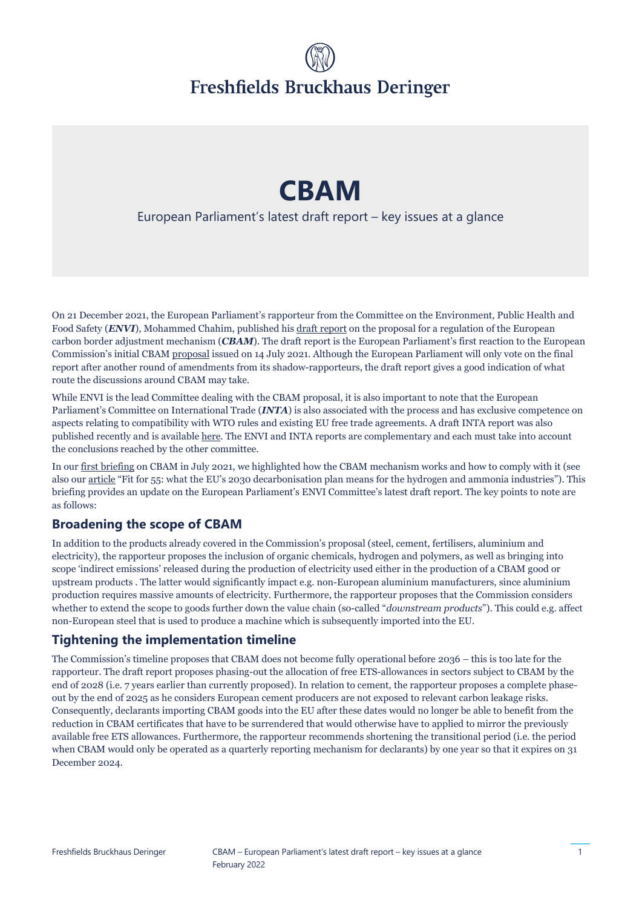# Freshfields Bruckhaus Deringer

## **CBAM**

#### European Parliament's latest draft report – key issues at a glance

On 21 December 2021, the European Parliament's rapporteur from the Committee on the Environment, Public Health and Food Safety (*ENVI*), Mohammed Chahim, published hi[s draft report o](https://www.europarl.europa.eu/doceo/document/ENVI-PR-697670_EN.pdf)n the proposal for a regulation of the European carbon border adjustment mechanism (*CBAM*). The draft report is the European Parliament's first reaction to the European Commission's initial CBAM [proposal i](https://eur-lex.europa.eu/legal-content/EN/TXT/?uri=celex:52021PC0564)ssued on 14 July 2021. Although the European Parliament will only vote on the final report after another round of amendments from its shadow-rapporteurs, the draft report gives a good indication of what route the discussions around CBAM may take.

While ENVI is the lead Committee dealing with the CBAM proposal, it is also important to note that the European Parliament's Committee on International Trade (*INTA*) is also associated with the process and has exclusive competence on aspects relating to compatibility with WTO rules and existing EU free trade agreements. A draft INTA report was also published recently and is available [here.](https://www.europarl.europa.eu/doceo/document/INTA-PA-699250_EN.pdf) The ENVI and INTA reports are complementary and each must take into account the conclusions reached by the other committee.

In our [first briefing o](https://www.freshfields.de/our-thinking/knowledge/briefing/2021/07/cbam-europes-attempt-to-prevent-carbon-leakage/)n CBAM in July 2021, we highlighted how the CBAM mechanism works and how to comply with it (see also our [article](https://sustainability.freshfields.com/post/102h6c2/fit-for-55-what-the-eus-2030-decarbonisation-plan-means-for-the-hydrogen-and-am) "Fit for 55: what the EU's 2030 decarbonisation plan means for the hydrogen and ammonia industries"). This briefing provides an update on the European Parliament's ENVI Committee's latest draft report. The key points to note are as follows:

#### **Broadening the scope of CBAM**

In addition to the products already covered in the Commission's proposal (steel, cement, fertilisers, aluminium and electricity), the rapporteur proposes the inclusion of organic chemicals, hydrogen and polymers, as well as bringing into scope 'indirect emissions' released during the production of electricity used either in the production of a CBAM good or upstream products . The latter would significantly impact e.g. non-European aluminium manufacturers, since aluminium production requires massive amounts of electricity. Furthermore, the rapporteur proposes that the Commission considers whether to extend the scope to goods further down the value chain (so-called "*downstream products*"). This could e.g. affect non-European steel that is used to produce a machine which is subsequently imported into the EU.

#### **Tightening the implementation timeline**

The Commission's timeline proposes that CBAM does not become fully operational before 2036 – this is too late for the rapporteur. The draft report proposes phasing-out the allocation of free ETS-allowances in sectors subject to CBAM by the end of 2028 (i.e. 7 years earlier than currently proposed). In relation to cement, the rapporteur proposes a complete phaseout by the end of 2025 as he considers European cement producers are not exposed to relevant carbon leakage risks. Consequently, declarants importing CBAM goods into the EU after these dates would no longer be able to benefit from the reduction in CBAM certificates that have to be surrendered that would otherwise have to applied to mirror the previously available free ETS allowances. Furthermore, the rapporteur recommends shortening the transitional period (i.e. the period when CBAM would only be operated as a quarterly reporting mechanism for declarants) by one year so that it expires on 31 December 2024.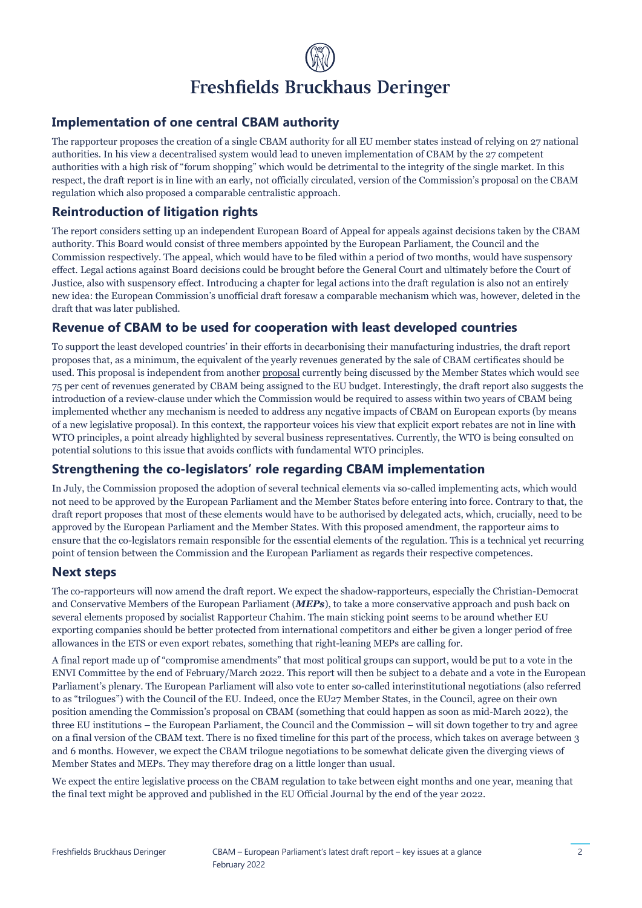## Freshfields Bruckhaus Deringer

#### **Implementation of one central CBAM authority**

The rapporteur proposes the creation of a single CBAM authority for all EU member states instead of relying on 27 national authorities. In his view a decentralised system would lead to uneven implementation of CBAM by the 27 competent authorities with a high risk of "forum shopping" which would be detrimental to the integrity of the single market. In this respect, the draft report is in line with an early, not officially circulated, version of the Commission's proposal on the CBAM regulation which also proposed a comparable centralistic approach.

#### **Reintroduction of litigation rights**

The report considers setting up an independent European Board of Appeal for appeals against decisions taken by the CBAM authority. This Board would consist of three members appointed by the European Parliament, the Council and the Commission respectively. The appeal, which would have to be filed within a period of two months, would have suspensory effect. Legal actions against Board decisions could be brought before the General Court and ultimately before the Court of Justice, also with suspensory effect. Introducing a chapter for legal actions into the draft regulation is also not an entirely new idea: the European Commission's unofficial draft foresaw a comparable mechanism which was, however, deleted in the draft that was later published.

#### **Revenue of CBAM to be used for cooperation with least developed countries**

To support the least developed countries' in their efforts in decarbonising their manufacturing industries, the draft report proposes that, as a minimum, the equivalent of the yearly revenues generated by the sale of CBAM certificates should be used. This proposal is independent from anothe[r proposal c](https://ec.europa.eu/commission/presscorner/detail/en/IP_21_7025)urrently being discussed by the Member States which would see 75 per cent of revenues generated by CBAM being assigned to the EU budget. Interestingly, the draft report also suggests the introduction of a review-clause under which the Commission would be required to assess within two years of CBAM being implemented whether any mechanism is needed to address any negative impacts of CBAM on European exports (by means of a new legislative proposal). In this context, the rapporteur voices his view that explicit export rebates are not in line with WTO principles, a point already highlighted by several business representatives. Currently, the WTO is being consulted on potential solutions to this issue that avoids conflicts with fundamental WTO principles.

#### **Strengthening the co-legislators' role regarding CBAM implementation**

In July, the Commission proposed the adoption of several technical elements via so-called implementing acts, which would not need to be approved by the European Parliament and the Member States before entering into force. Contrary to that, the draft report proposes that most of these elements would have to be authorised by delegated acts, which, crucially, need to be approved by the European Parliament and the Member States. With this proposed amendment, the rapporteur aims to ensure that the co-legislators remain responsible for the essential elements of the regulation. This is a technical yet recurring point of tension between the Commission and the European Parliament as regards their respective competences.

#### **Next steps**

The co-rapporteurs will now amend the draft report. We expect the shadow-rapporteurs, especially the Christian-Democrat and Conservative Members of the European Parliament (*MEPs*), to take a more conservative approach and push back on several elements proposed by socialist Rapporteur Chahim. The main sticking point seems to be around whether EU exporting companies should be better protected from international competitors and either be given a longer period of free allowances in the ETS or even export rebates, something that right-leaning MEPs are calling for.

A final report made up of "compromise amendments" that most political groups can support, would be put to a vote in the ENVI Committee by the end of February/March 2022. This report will then be subject to a debate and a vote in the European Parliament's plenary. The European Parliament will also vote to enter so-called interinstitutional negotiations (also referred to as "trilogues") with the Council of the EU. Indeed, once the EU27 Member States, in the Council, agree on their own position amending the Commission's proposal on CBAM (something that could happen as soon as mid-March 2022), the three EU institutions – the European Parliament, the Council and the Commission – will sit down together to try and agree on a final version of the CBAM text. There is no fixed timeline for this part of the process, which takes on average between 3 and 6 months. However, we expect the CBAM trilogue negotiations to be somewhat delicate given the diverging views of Member States and MEPs. They may therefore drag on a little longer than usual.

We expect the entire legislative process on the CBAM regulation to take between eight months and one year, meaning that the final text might be approved and published in the EU Official Journal by the end of the year 2022.